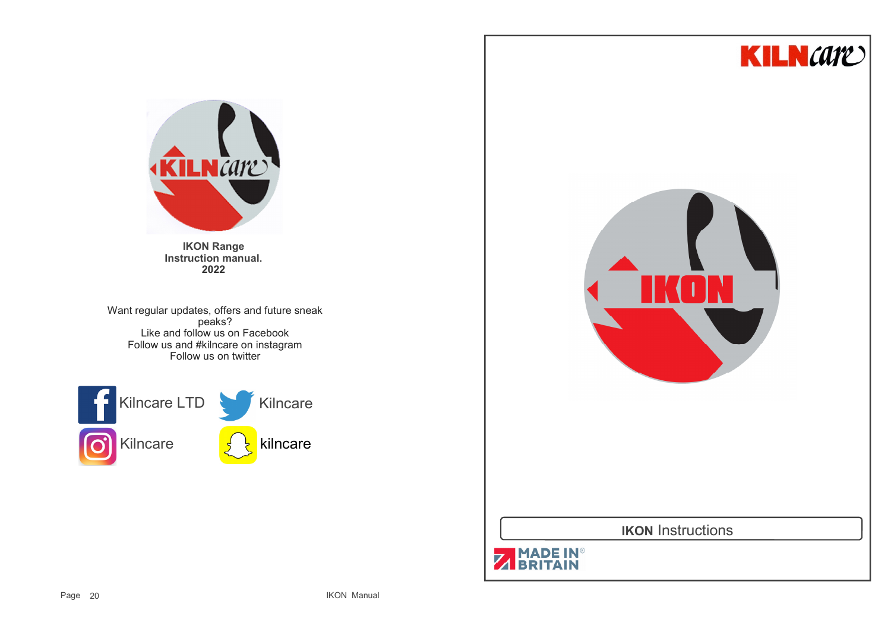



**IKON Range Instruction manual.2022**

Want regular updates, offers and future sneak peaks? Like and follow us on Facebook Follow us and #kilncare on instagramFollow us on twitter



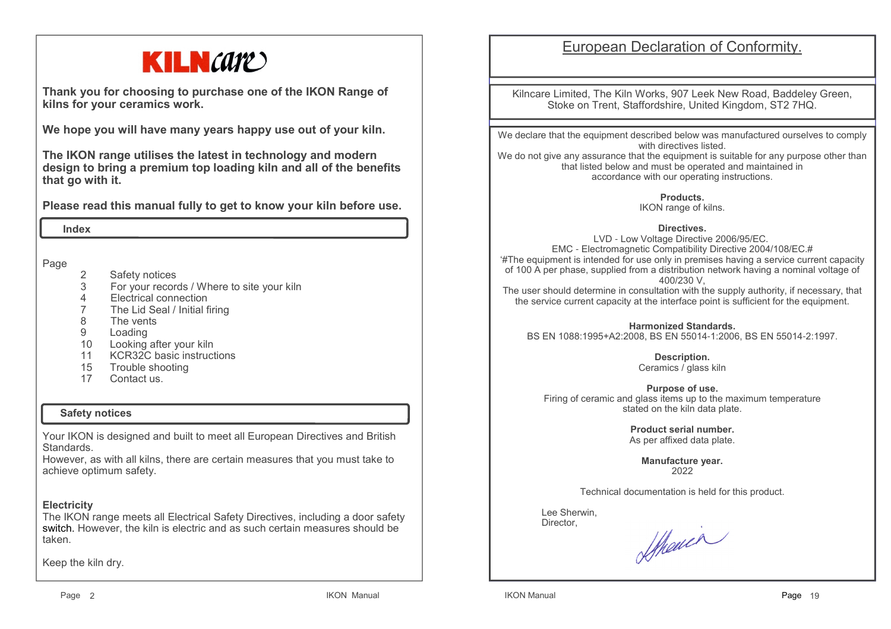# **KILN**care

**Thank you for choosing to purchase one of the IKON Range of kilns for your ceramics work.**

**We hope you will have many years happy use out of your kiln.** 

**The IKON range utilises the latest in technology and modern design to bring a premium top loading kiln and all of the benefits that go with it.**

**Please read this manual fully to get to know your kiln before use.**

 **Index**

Page

- 2 Safety notices
- For your records / Where to site your kiln 3
- 4Electrical connection
- 7The Lid Seal / Initial firing
- 88 The vents<br>9 Loading
- Loading
- 10 Looking after your kiln
- 11 KCR32C basic instructions
- 15 Trouble shooting<br>17 Contact us
- Contact us.

#### **Safety notices**

Your IKON is designed and built to meet all European Directives and British Standards.

 However, as with all kilns, there are certain measures that you must take to achieve optimum safety.

# **Electricity**

 The IKON range meets all Electrical Safety Directives, including a door safety switch. However, the kiln is electric and as such certain measures should be taken.

Keep the kiln dry.

# European Declaration of Conformity.

Kilncare Limited, The Kiln Works, 907 Leek New Road, Baddeley Green, Stoke on Trent, Staffordshire, United Kingdom, ST2 7HQ.

We declare that the equipment described below was manufactured ourselves to comply with directives listed.

 We do not give any assurance that the equipment is suitable for any purpose other than that listed below and must be operated and maintained in accordance with our operating instructions.

**Products.**

IKON range of kilns.

**Directives.**

 LVD - Low Voltage Directive 2006/95/EC. EMC - Electromagnetic Compatibility Directive 2004/108/EC.# '#The equipment is intended for use only in premises having a service current capacity of 100 A per phase, supplied from a distribution network having a nominal voltage of 400/230 V,

 The user should determine in consultation with the supply authority, if necessary, that the service current capacity at the interface point is sufficient for the equipment.

**Harmonized Standards.**BS EN 1088:1995+A2:2008, BS EN 55014-1:2006, BS EN 55014-2:1997.

> **Description.** Ceramics / glass kiln

**Purpose of use.** Firing of ceramic and glass items up to the maximum temperature stated on the kiln data plate.

> **Product serial number.**As per affixed data plate.

> > **Manufacture year.**2022

Technical documentation is held for this product.

 Lee Sherwin,Director,

Shower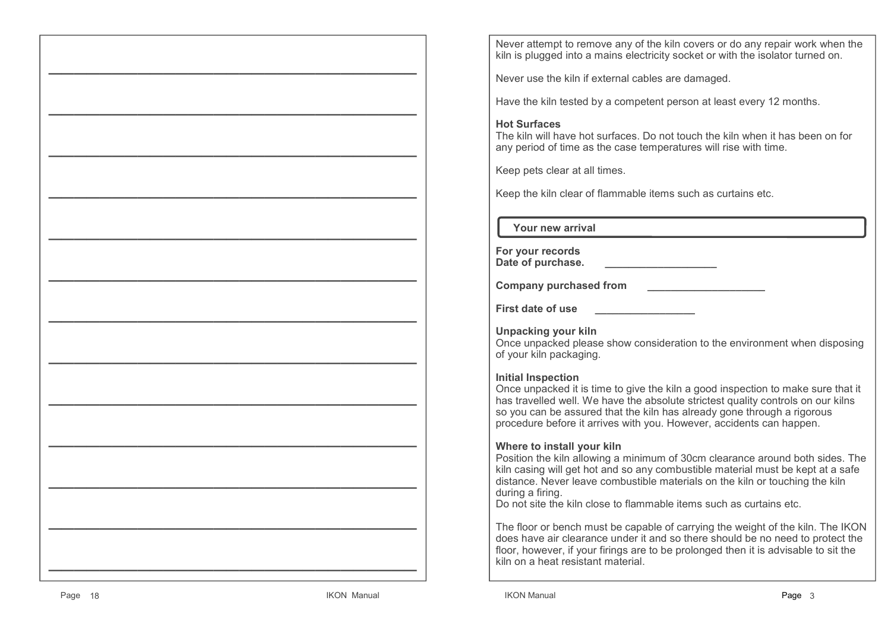Never attempt to remove any of the kiln covers or do any repair work when the kiln is plugged into a mains electricity socket or with the isolator turned on.

Never use the kiln if external cables are damaged.

Have the kiln tested by a competent person at least every 12 months.

# **Hot Surfaces**

 The kiln will have hot surfaces. Do not touch the kiln when it has been on for any period of time as the case temperatures will rise with time.

Keep pets clear at all times.

Keep the kiln clear of flammable items such as curtains etc.

 **Your new arrival**

| For your records  |  |
|-------------------|--|
| Date of purchase. |  |

**Company purchased from \_\_\_\_\_\_\_\_\_\_\_\_\_\_\_\_\_\_\_\_**

**First date of use \_\_\_\_\_\_\_\_\_\_\_\_\_\_\_\_\_**

**Unpacking your kiln**

 Once unpacked please show consideration to the environment when disposing of your kiln packaging.

#### **Initial Inspection**

 Once unpacked it is time to give the kiln a good inspection to make sure that it has travelled well. We have the absolute strictest quality controls on our kilns so you can be assured that the kiln has already gone through a rigorous procedure before it arrives with you. However, accidents can happen.

#### **Where to install your kiln**

 Position the kiln allowing a minimum of 30cm clearance around both sides. The kiln casing will get hot and so any combustible material must be kept at a safe distance. Never leave combustible materials on the kiln or touching the kiln during a firing.

Do not site the kiln close to flammable items such as curtains etc.

The floor or bench must be capable of carrying the weight of the kiln. The IKON does have air clearance under it and so there should be no need to protect the floor, however, if your firings are to be prolonged then it is advisable to sit the kiln on a heat resistant material.

**—————————————————————————————** 

**—————————————————————————————**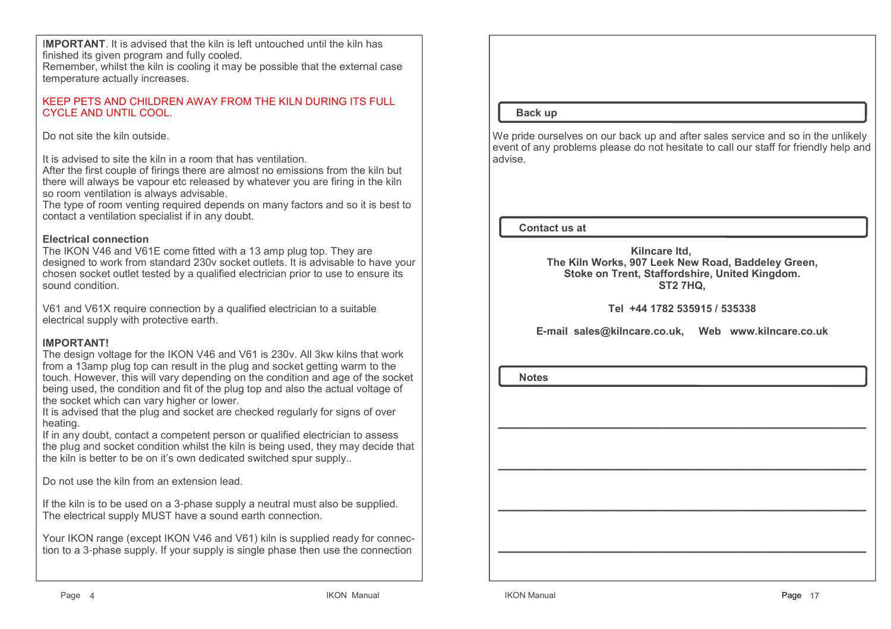I**MPORTANT**. It is advised that the kiln is left untouched until the kiln has finished its given program and fully cooled.

 Remember, whilst the kiln is cooling it may be possible that the external case temperature actually increases.

#### KEEP PETS AND CHILDREN AWAY FROM THE KILN DURING ITS FULL CYCLE AND UNTIL COOL.

Do not site the kiln outside.

It is advised to site the kiln in a room that has ventilation.

 After the first couple of firings there are almost no emissions from the kiln but there will always be vapour etc released by whatever you are firing in the kiln so room ventilation is always advisable.

 The type of room venting required depends on many factors and so it is best to contact a ventilation specialist if in any doubt.

#### **Electrical connection**

 The IKON V46 and V61E come fitted with a 13 amp plug top. They are designed to work from standard 230v socket outlets. It is advisable to have your chosen socket outlet tested by a qualified electrician prior to use to ensure its sound condition.

V61 and V61X require connection by a qualified electrician to a suitable electrical supply with protective earth.

# **IMPORTANT!**

 The design voltage for the IKON V46 and V61 is 230v. All 3kw kilns that work from a 13amp plug top can result in the plug and socket getting warm to the touch. However, this will vary depending on the condition and age of the socket being used, the condition and fit of the plug top and also the actual voltage of the socket which can vary higher or lower.

 It is advised that the plug and socket are checked regularly for signs of over heating.

 If in any doubt, contact a competent person or qualified electrician to assess the plug and socket condition whilst the kiln is being used, they may decide that the kiln is better to be on it's own dedicated switched spur supply..

Do not use the kiln from an extension lead.

If the kiln is to be used on a 3-phase supply a neutral must also be supplied.The electrical supply MUST have a sound earth connection.

Your IKON range (except IKON V46 and V61) kiln is supplied ready for connection to a 3-phase supply. If your supply is single phase then use the connection

 **Back up**

We pride ourselves on our back up and after sales service and so in the unlikely event of any problems please do not hesitate to call our staff for friendly help and advise.

 **Contact us at**

 **Kilncare ltd, The Kiln Works, 907 Leek New Road, Baddeley Green,Stoke on Trent, Staffordshire, United Kingdom.ST2 7HQ,**

**Tel +44 1782 535915 / 535338**

**E-mail sales@kilncare.co.uk, Web www.kilncare.co.uk**

**—————————————————————————————** 

 **Notes**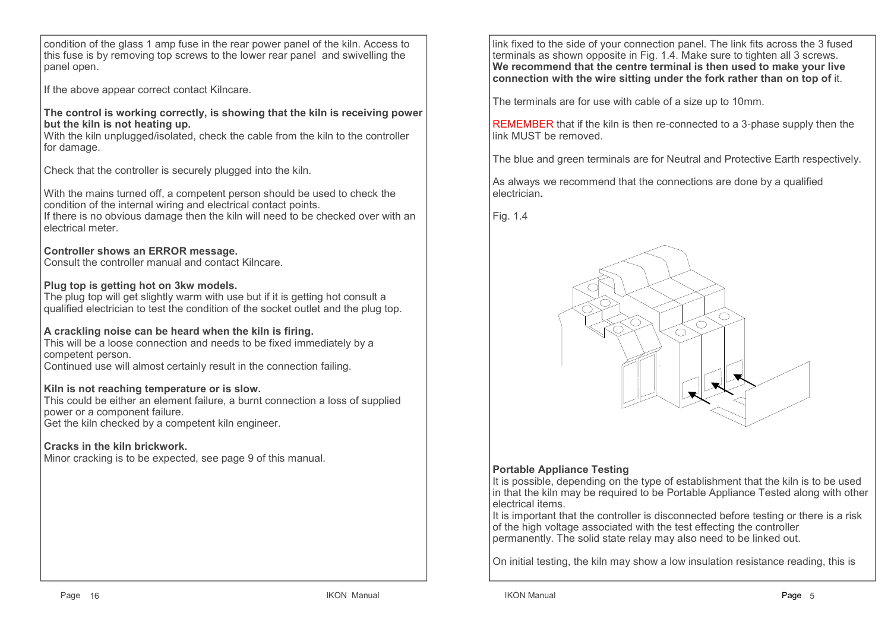condition of the glass 1 amp fuse in the rear power panel of the kiln. Access to this fuse is by removing top screws to the lower rear panel and swivelling the panel open.

If the above appear correct contact Kilncare.

**The control is working correctly, is showing that the kiln is receiving power but the kiln is not heating up.**

 With the kiln unplugged/isolated, check the cable from the kiln to the controller for damage.

Check that the controller is securely plugged into the kiln.

With the mains turned off, a competent person should be used to check the condition of the internal wiring and electrical contact points.

 If there is no obvious damage then the kiln will need to be checked over with an electrical meter.

#### **Controller shows an ERROR message.**

Consult the controller manual and contact Kilncare.

#### **Plug top is getting hot on 3kw models.**

 The plug top will get slightly warm with use but if it is getting hot consult a qualified electrician to test the condition of the socket outlet and the plug top.

#### **A crackling noise can be heard when the kiln is firing.**

 This will be a loose connection and needs to be fixed immediately by a competent person.

Continued use will almost certainly result in the connection failing.

#### **Kiln is not reaching temperature or is slow.**

 This could be either an element failure, a burnt connection a loss of supplied power or a component failure.

Get the kiln checked by a competent kiln engineer.

#### **Cracks in the kiln brickwork.**

Minor cracking is to be expected, see page 9 of this manual.

link fixed to the side of your connection panel. The link fits across the 3 fused terminals as shown opposite in Fig. 1.4. Make sure to tighten all 3 screws. **We recommend that the centre terminal is then used to make your live connection with the wire sitting under the fork rather than on top of** it.

The terminals are for use with cable of a size up to 10mm.

REMEMBER that if the kiln is then re-connected to a 3-phase supply then the link MUST be removed.

The blue and green terminals are for Neutral and Protective Earth respectively.

As always we recommend that the connections are done by a qualified electrician**.**

#### Fig. 1.4



# **Portable Appliance Testing**

 It is possible, depending on the type of establishment that the kiln is to be used in that the kiln may be required to be Portable Appliance Tested along with other electrical items.

 It is important that the controller is disconnected before testing or there is a risk of the high voltage associated with the test effecting the controller permanently. The solid state relay may also need to be linked out.

On initial testing, the kiln may show a low insulation resistance reading, this is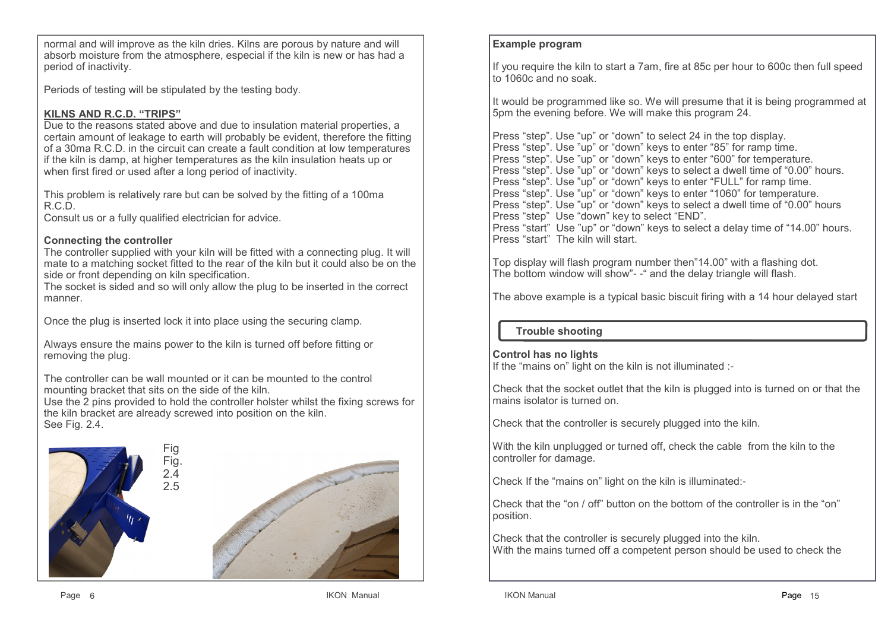normal and will improve as the kiln dries. Kilns are porous by nature and will absorb moisture from the atmosphere, especial if the kiln is new or has had a period of inactivity.

Periods of testing will be stipulated by the testing body.

# **KILNS AND R.C.D. "TRIPS"**

 Due to the reasons stated above and due to insulation material properties, a certain amount of leakage to earth will probably be evident, therefore the fitting of a 30ma R.C.D. in the circuit can create a fault condition at low temperatures if the kiln is damp, at higher temperatures as the kiln insulation heats up or when first fired or used after a long period of inactivity.

This problem is relatively rare but can be solved by the fitting of a 100ma R.C.D.

Consult us or a fully qualified electrician for advice.

# **Connecting the controller**

 The controller supplied with your kiln will be fitted with a connecting plug. It will mate to a matching socket fitted to the rear of the kiln but it could also be on the side or front depending on kiln specification.

 The socket is sided and so will only allow the plug to be inserted in the correct manner.

Once the plug is inserted lock it into place using the securing clamp.

Always ensure the mains power to the kiln is turned off before fitting or removing the plug.

The controller can be wall mounted or it can be mounted to the control mounting bracket that sits on the side of the kiln.

 Use the 2 pins provided to hold the controller holster whilst the fixing screws for the kiln bracket are already screwed into position on the kiln. See Fig. 2.4.



# **Example program**

If you require the kiln to start a 7am, fire at 85c per hour to 600c then full speed to 1060c and no soak.

It would be programmed like so. We will presume that it is being programmed at 5pm the evening before. We will make this program 24.

Press "step". Use "up" or "down" to select 24 in the top display. Press "step". Use "up" or "down" keys to enter "85" for ramp time. Press "step". Use "up" or "down" keys to enter "600" for temperature. Press "step". Use "up" or "down" keys to select a dwell time of "0.00" hours.Press "step". Use "up" or "down" keys to enter "FULL" for ramp time. Press "step". Use "up" or "down" keys to enter "1060" for temperature. Press "step". Use "up" or "down" keys to select a dwell time of "0.00" hoursPress "step" Use "down" key to select "END". Press "start" Use "up" or "down" keys to select a delay time of "14.00" hours.Press "start" The kiln will start.

Top display will flash program number then"14.00" with a flashing dot. The bottom window will show"- -" and the delay triangle will flash.

The above example is a typical basic biscuit firing with a 14 hour delayed start

# **Trouble shooting**

#### **Control has no lights**

If the "mains on" light on the kiln is not illuminated :-

Check that the socket outlet that the kiln is plugged into is turned on or that the mains isolator is turned on.

Check that the controller is securely plugged into the kiln.

With the kiln unplugged or turned off, check the cable from the kiln to the controller for damage.

Check If the "mains on" light on the kiln is illuminated:-

Check that the "on / off" button on the bottom of the controller is in the "on" position.

Check that the controller is securely plugged into the kiln.With the mains turned off a competent person should be used to check the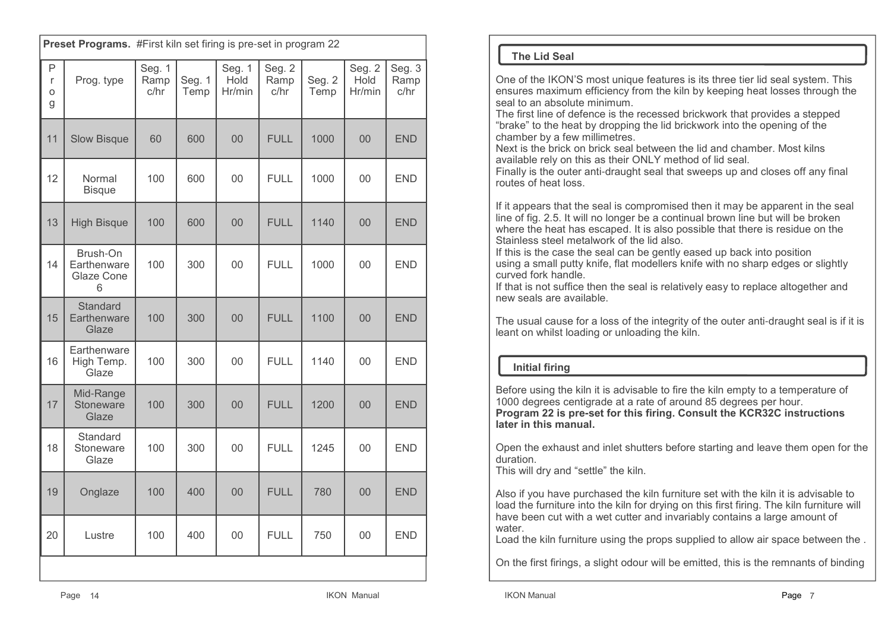|                  | Preset Programs. #First kiln set firing is pre-set in program 22 |                        |                |                          |                        |                |                          |                        |
|------------------|------------------------------------------------------------------|------------------------|----------------|--------------------------|------------------------|----------------|--------------------------|------------------------|
| P<br>r<br>O<br>g | Prog. type                                                       | Seg. 1<br>Ramp<br>c/hr | Seg. 1<br>Temp | Seg. 1<br>Hold<br>Hr/min | Seg. 2<br>Ramp<br>c/hr | Seg. 2<br>Temp | Seg. 2<br>Hold<br>Hr/min | Seg. 3<br>Ramp<br>c/hr |
| 11               | <b>Slow Bisque</b>                                               | 60                     | 600            | 00                       | <b>FULL</b>            | 1000           | 0 <sup>0</sup>           | <b>END</b>             |
| 12               | Normal<br><b>Bisque</b>                                          | 100                    | 600            | 00                       | <b>FULL</b>            | 1000           | 00                       | <b>END</b>             |
| 13               | <b>High Bisque</b>                                               | 100                    | 600            | 00                       | <b>FULL</b>            | 1140           | 00                       | <b>END</b>             |
| 14               | Brush-On<br>Earthenware<br>Glaze Cone<br>6                       | 100                    | 300            | 00                       | <b>FULL</b>            | 1000           | 0 <sub>0</sub>           | <b>END</b>             |
| 15               | Standard<br>Earthenware<br>Glaze                                 | 100                    | 300            | 00                       | <b>FULL</b>            | 1100           | 0 <sup>0</sup>           | <b>END</b>             |
| 16               | Earthenware<br>High Temp.<br>Glaze                               | 100                    | 300            | 00                       | <b>FULL</b>            | 1140           | $00\,$                   | <b>END</b>             |
| 17               | Mid-Range<br>Stoneware<br>Glaze                                  | 100                    | 300            | 00                       | <b>FULL</b>            | 1200           | 0 <sup>0</sup>           | <b>END</b>             |
| 18               | Standard<br>Stoneware<br>Glaze                                   | 100                    | 300            | 00                       | <b>FULL</b>            | 1245           | 00                       | <b>END</b>             |
| 19               | Onglaze                                                          | 100                    | 400            | 00                       | <b>FULL</b>            | 780            | 00                       | <b>END</b>             |
| 20               | Lustre                                                           | 100                    | 400            | 00                       | <b>FULL</b>            | 750            | 00                       | END                    |
|                  |                                                                  |                        |                |                          |                        |                |                          |                        |

# **The Lid Seal**

One of the IKON'S most unique features is its three tier lid seal system. This ensures maximum efficiency from the kiln by keeping heat losses through the seal to an absolute minimum.

 The first line of defence is the recessed brickwork that provides a stepped "brake" to the heat by dropping the lid brickwork into the opening of the chamber by a few millimetres.

 Next is the brick on brick seal between the lid and chamber. Most kilns available rely on this as their ONLY method of lid seal.

 Finally is the outer anti-draught seal that sweeps up and closes off any final routes of heat loss.

If it appears that the seal is compromised then it may be apparent in the seal line of fig. 2.5. It will no longer be a continual brown line but will be broken where the heat has escaped. It is also possible that there is residue on the Stainless steel metalwork of the lid also.

 If this is the case the seal can be gently eased up back into position using a small putty knife, flat modellers knife with no sharp edges or slightly curved fork handle.

 If that is not suffice then the seal is relatively easy to replace altogether and new seals are available.

The usual cause for a loss of the integrity of the outer anti-draught seal is if it is leant on whilst loading or unloading the kiln.

# **Initial firing**

Before using the kiln it is advisable to fire the kiln empty to a temperature of 1000 degrees centigrade at a rate of around 85 degrees per hour. **Program 22 is pre-set for this firing. Consult the KCR32C instructions later in this manual.**

Open the exhaust and inlet shutters before starting and leave them open for the duration.

This will dry and "settle" the kiln.

Also if you have purchased the kiln furniture set with the kiln it is advisable to load the furniture into the kiln for drying on this first firing. The kiln furniture will have been cut with a wet cutter and invariably contains a large amount of water

Load the kiln furniture using the props supplied to allow air space between the .

On the first firings, a slight odour will be emitted, this is the remnants of binding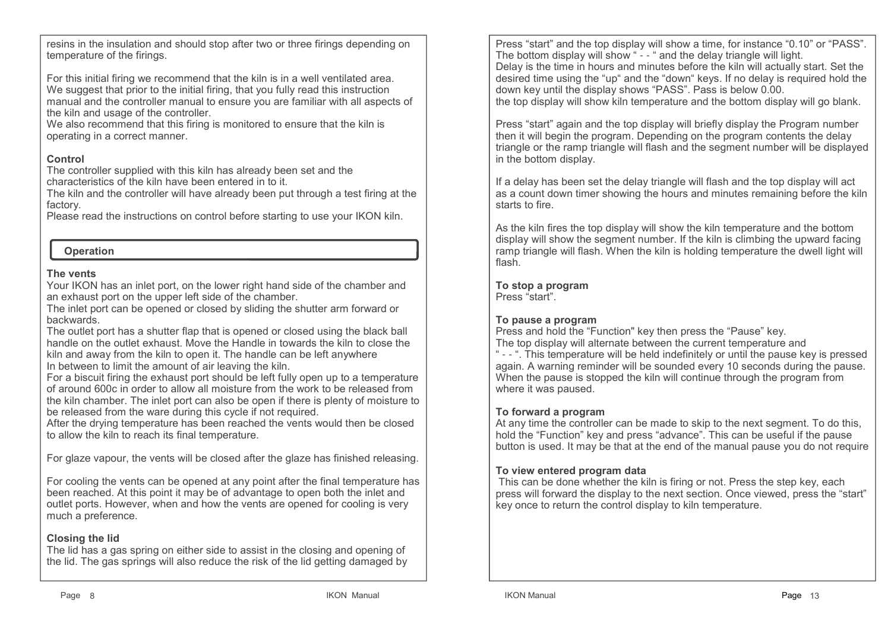resins in the insulation and should stop after two or three firings depending on temperature of the firings.

For this initial firing we recommend that the kiln is in a well ventilated area. We suggest that prior to the initial firing, that you fully read this instruction manual and the controller manual to ensure you are familiar with all aspects of the kiln and usage of the controller.

 We also recommend that this firing is monitored to ensure that the kiln isoperating in a correct manner.

# **Control**

 The controller supplied with this kiln has already been set and the characteristics of the kiln have been entered in to it.

 The kiln and the controller will have already been put through a test firing at the factory.

Please read the instructions on control before starting to use your IKON kiln.

# **Operation**

# **The vents**

 Your IKON has an inlet port, on the lower right hand side of the chamber and an exhaust port on the upper left side of the chamber.

 The inlet port can be opened or closed by sliding the shutter arm forward or backwards.

 The outlet port has a shutter flap that is opened or closed using the black ball handle on the outlet exhaust. Move the Handle in towards the kiln to close the kiln and away from the kiln to open it. The handle can be left anywhere In between to limit the amount of air leaving the kiln.

 For a biscuit firing the exhaust port should be left fully open up to a temperature of around 600c in order to allow all moisture from the work to be released from the kiln chamber. The inlet port can also be open if there is plenty of moisture to be released from the ware during this cycle if not required.

 After the drying temperature has been reached the vents would then be closed to allow the kiln to reach its final temperature.

For glaze vapour, the vents will be closed after the glaze has finished releasing.

For cooling the vents can be opened at any point after the final temperature has been reached. At this point it may be of advantage to open both the inlet and outlet ports. However, when and how the vents are opened for cooling is very much a preference.

# **Closing the lid**

 The lid has a gas spring on either side to assist in the closing and opening of the lid. The gas springs will also reduce the risk of the lid getting damaged by Press "start" and the top display will show a time, for instance "0.10" or "PASS". The bottom display will show " - - " and the delay triangle will light. Delay is the time in hours and minutes before the kiln will actually start. Set the desired time using the "up" and the "down" keys. If no delay is required hold the down key until the display shows "PASS". Pass is below 0.00.the top display will show kiln temperature and the bottom display will go blank.

Press "start" again and the top display will briefly display the Program number then it will begin the program. Depending on the program contents the delay triangle or the ramp triangle will flash and the segment number will be displayed in the bottom display.

If a delay has been set the delay triangle will flash and the top display will act as a count down timer showing the hours and minutes remaining before the kiln starts to fire.

As the kiln fires the top display will show the kiln temperature and the bottom display will show the segment number. If the kiln is climbing the upward facing ramp triangle will flash. When the kiln is holding temperature the dwell light will flash.

**To stop a program**Press "start".

# **To pause a program**

 Press and hold the "Function" key then press the "Pause" key. The top display will alternate between the current temperature and " - - ". This temperature will be held indefinitely or until the pause key is pressed again. A warning reminder will be sounded every 10 seconds during the pause. When the pause is stopped the kiln will continue through the program from where it was paused.

# **To forward a program**

 At any time the controller can be made to skip to the next segment. To do this, hold the "Function" key and press "advance". This can be useful if the pause button is used. It may be that at the end of the manual pause you do not require

# **To view entered program data**

 This can be done whether the kiln is firing or not. Press the step key, each press will forward the display to the next section. Once viewed, press the "start" key once to return the control display to kiln temperature.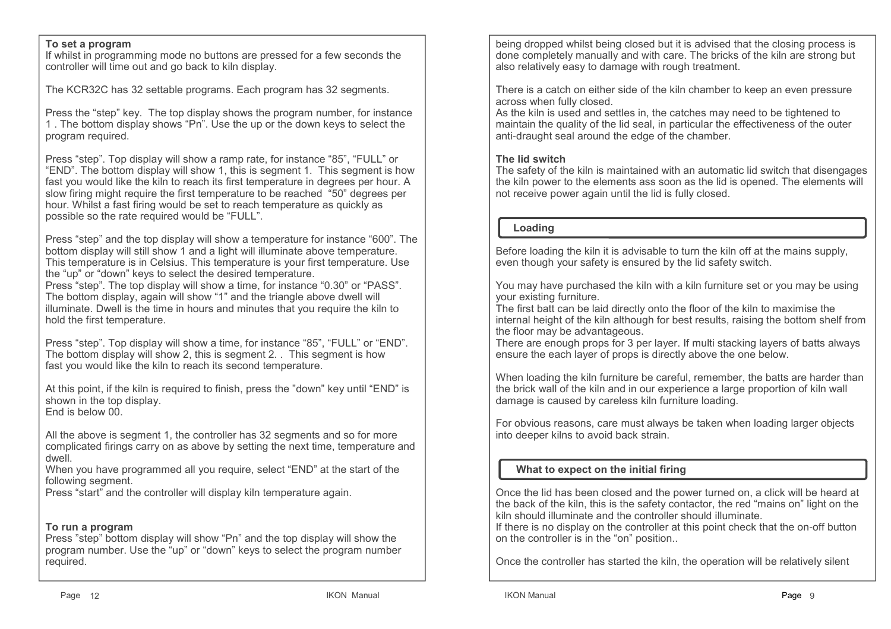#### **To set a program**

 If whilst in programming mode no buttons are pressed for a few seconds the controller will time out and go back to kiln display.

The KCR32C has 32 settable programs. Each program has 32 segments.

Press the "step" key. The top display shows the program number, for instance 1 . The bottom display shows "Pn". Use the up or the down keys to select the program required.

Press "step". Top display will show a ramp rate, for instance "85", "FULL" or "END". The bottom display will show 1, this is segment 1. This segment is how fast you would like the kiln to reach its first temperature in degrees per hour. A slow firing might require the first temperature to be reached "50" degrees per hour. Whilst a fast firing would be set to reach temperature as quickly as possible so the rate required would be "FULL".

Press "step" and the top display will show a temperature for instance "600". The bottom display will still show 1 and a light will illuminate above temperature. This temperature is in Celsius. This temperature is your first temperature. Use the "up" or "down" keys to select the desired temperature.

 Press "step". The top display will show a time, for instance "0.30" or "PASS". The bottom display, again will show "1" and the triangle above dwell will illuminate. Dwell is the time in hours and minutes that you require the kiln to hold the first temperature.

Press "step". Top display will show a time, for instance "85", "FULL" or "END". The bottom display will show 2, this is segment 2. . This segment is how fast you would like the kiln to reach its second temperature.

At this point, if the kiln is required to finish, press the "down" key until "END" is shown in the top display. End is below 00.

All the above is segment 1, the controller has 32 segments and so for more complicated firings carry on as above by setting the next time, temperature and dwell.

 When you have programmed all you require, select "END" at the start of the following segment.

Press "start" and the controller will display kiln temperature again.

#### **To run a program**

 Press "step" bottom display will show "Pn" and the top display will show the program number. Use the "up" or "down" keys to select the program number required.

being dropped whilst being closed but it is advised that the closing process is done completely manually and with care. The bricks of the kiln are strong but also relatively easy to damage with rough treatment.

There is a catch on either side of the kiln chamber to keep an even pressure across when fully closed.

 As the kiln is used and settles in, the catches may need to be tightened to maintain the quality of the lid seal, in particular the effectiveness of the outer anti-draught seal around the edge of the chamber.

#### **The lid switch**

 The safety of the kiln is maintained with an automatic lid switch that disengages the kiln power to the elements ass soon as the lid is opened. The elements will not receive power again until the lid is fully closed.

#### **Loading**

Before loading the kiln it is advisable to turn the kiln off at the mains supply, even though your safety is ensured by the lid safety switch.

You may have purchased the kiln with a kiln furniture set or you may be using your existing furniture.

 The first batt can be laid directly onto the floor of the kiln to maximise the internal height of the kiln although for best results, raising the bottom shelf from the floor may be advantageous.

 There are enough props for 3 per layer. If multi stacking layers of batts always ensure the each layer of props is directly above the one below.

When loading the kiln furniture be careful, remember, the batts are harder than the brick wall of the kiln and in our experience a large proportion of kiln wall damage is caused by careless kiln furniture loading.

For obvious reasons, care must always be taken when loading larger objects into deeper kilns to avoid back strain.

# **What to expect on the initial firing**

Once the lid has been closed and the power turned on, a click will be heard at the back of the kiln, this is the safety contactor, the red "mains on" light on the kiln should illuminate and the controller should illuminate.

 If there is no display on the controller at this point check that the on-off button on the controller is in the "on" position..

Once the controller has started the kiln, the operation will be relatively silent